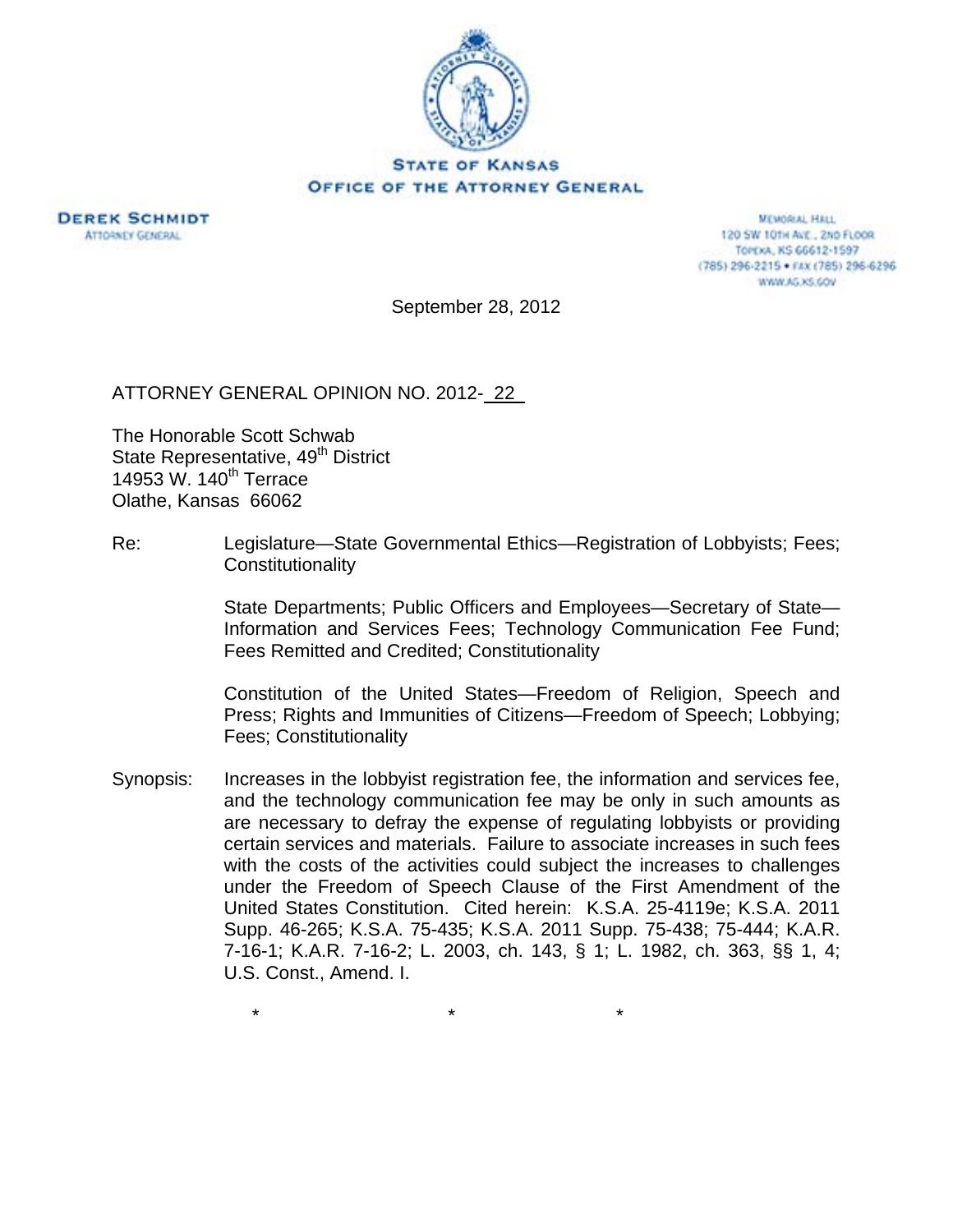



**MEMORIAL HALL** 120 SW 101H ALE., 2ND FLOOR TOPEXA, KS 66612-1597 (785) 296-2215 · FAX (785) 296-6296 WWW.AG.XS.GOV

September 28, 2012

ATTORNEY GENERAL OPINION NO. 2012- 22

The Honorable Scott Schwab State Representative, 49<sup>th</sup> District 14953 W. 140<sup>th</sup> Terrace Olathe, Kansas 66062

Re: Legislature—State Governmental Ethics—Registration of Lobbyists; Fees; **Constitutionality** 

> State Departments; Public Officers and Employees—Secretary of State— Information and Services Fees; Technology Communication Fee Fund; Fees Remitted and Credited; Constitutionality

> Constitution of the United States—Freedom of Religion, Speech and Press; Rights and Immunities of Citizens—Freedom of Speech; Lobbying; Fees; Constitutionality

Synopsis: Increases in the lobbyist registration fee, the information and services fee, and the technology communication fee may be only in such amounts as are necessary to defray the expense of regulating lobbyists or providing certain services and materials. Failure to associate increases in such fees with the costs of the activities could subject the increases to challenges under the Freedom of Speech Clause of the First Amendment of the United States Constitution. Cited herein: K.S.A. 25-4119e; K.S.A. 2011 Supp. 46-265; K.S.A. 75-435; K.S.A. 2011 Supp. 75-438; 75-444; K.A.R. 7-16-1; K.A.R. 7-16-2; L. 2003, ch. 143, § 1; L. 1982, ch. 363, §§ 1, 4; U.S. Const., Amend. I.

 $\star$   $\star$   $\star$   $\star$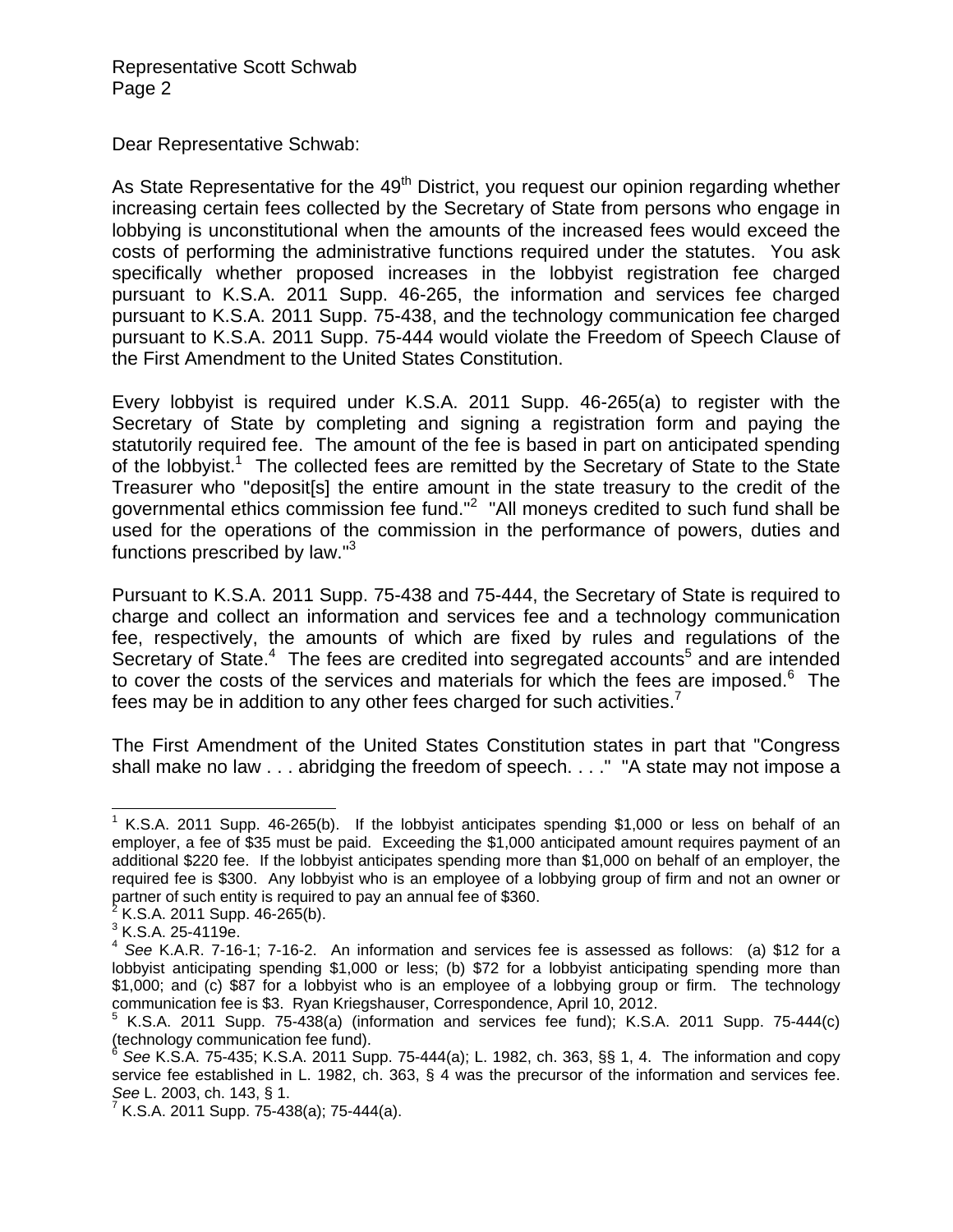Dear Representative Schwab:

As State Representative for the  $49<sup>th</sup>$  District, you request our opinion regarding whether increasing certain fees collected by the Secretary of State from persons who engage in lobbying is unconstitutional when the amounts of the increased fees would exceed the costs of performing the administrative functions required under the statutes. You ask specifically whether proposed increases in the lobbyist registration fee charged pursuant to K.S.A. 2011 Supp. 46-265, the information and services fee charged pursuant to K.S.A. 2011 Supp. 75-438, and the technology communication fee charged pursuant to K.S.A. 2011 Supp. 75-444 would violate the Freedom of Speech Clause of the First Amendment to the United States Constitution.

Every lobbyist is required under K.S.A. 2011 Supp. 46-265(a) to register with the Secretary of State by completing and signing a registration form and paying the statutorily required fee. The amount of the fee is based in part on anticipated spending of the lobbyist.<sup>1</sup> The collected fees are remitted by the Secretary of State to the State Treasurer who "deposit[s] the entire amount in the state treasury to the credit of the governmental ethics commission fee fund."<sup>2</sup> "All moneys credited to such fund shall be used for the operations of the commission in the performance of powers, duties and functions prescribed by law."3

Pursuant to K.S.A. 2011 Supp. 75-438 and 75-444, the Secretary of State is required to charge and collect an information and services fee and a technology communication fee, respectively, the amounts of which are fixed by rules and regulations of the Secretary of State.<sup>4</sup> The fees are credited into segregated accounts<sup>5</sup> and are intended to cover the costs of the services and materials for which the fees are imposed. $6$  The fees may be in addition to any other fees charged for such activities.<sup>7</sup>

The First Amendment of the United States Constitution states in part that "Congress shall make no law . . . abridging the freedom of speech. . . ." "A state may not impose a

 $\overline{a}$ <sup>1</sup> K.S.A. 2011 Supp. 46-265(b). If the lobbyist anticipates spending \$1,000 or less on behalf of an employer, a fee of \$35 must be paid. Exceeding the \$1,000 anticipated amount requires payment of an additional \$220 fee. If the lobbyist anticipates spending more than \$1,000 on behalf of an employer, the required fee is \$300. Any lobbyist who is an employee of a lobbying group of firm and not an owner or partner of such entity is required to pay an annual fee of \$360.<br><sup>2</sup> K.S.A. 2011 Supp. 46-265(b).

 $3$  K.S.A. 25-4119e.

<sup>4</sup> *See* K.A.R. 7-16-1; 7-16-2. An information and services fee is assessed as follows: (a) \$12 for a lobbyist anticipating spending \$1,000 or less; (b) \$72 for a lobbyist anticipating spending more than \$1,000; and (c) \$87 for a lobbyist who is an employee of a lobbying group or firm. The technology communication fee is \$3. Ryan Kriegshauser, Correspondence, April 10, 2012.

 $5$  K.S.A. 2011 Supp. 75-438(a) (information and services fee fund); K.S.A. 2011 Supp. 75-444(c) (technology communication fee fund).

<sup>6</sup> *See* K.S.A. 75-435; K.S.A. 2011 Supp. 75-444(a); L. 1982, ch. 363, §§ 1, 4. The information and copy service fee established in L. 1982, ch. 363, § 4 was the precursor of the information and services fee.

*See* L. 2003, ch. 143, § 1.<br><sup>7</sup> K.S.A. 2011 Supp. 75-438(a); 75-444(a).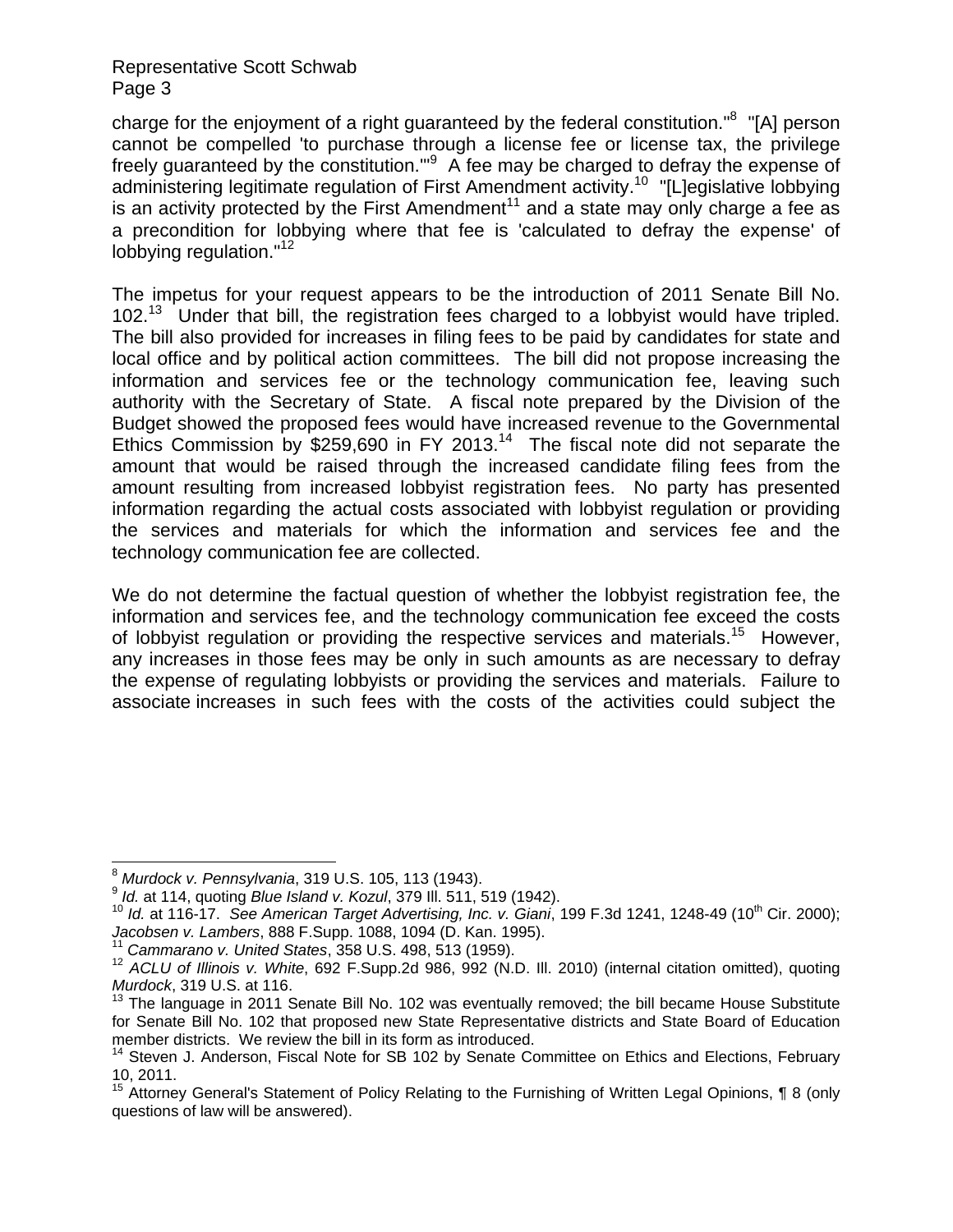## Representative Scott Schwab Page 3

charge for the enjoyment of a right guaranteed by the federal constitution."<sup>8</sup> "[A] person cannot be compelled 'to purchase through a license fee or license tax, the privilege freely guaranteed by the constitution."<sup>9</sup> A fee may be charged to defray the expense of administering legitimate regulation of First Amendment activity.<sup>10</sup> "[L]egislative lobbying is an activity protected by the First Amendment<sup>11</sup> and a state may only charge a fee as a precondition for lobbying where that fee is 'calculated to defray the expense' of lobbying regulation."<sup>12</sup>

The impetus for your request appears to be the introduction of 2011 Senate Bill No.  $102<sup>13</sup>$  Under that bill, the registration fees charged to a lobbyist would have tripled. The bill also provided for increases in filing fees to be paid by candidates for state and local office and by political action committees. The bill did not propose increasing the information and services fee or the technology communication fee, leaving such authority with the Secretary of State. A fiscal note prepared by the Division of the Budget showed the proposed fees would have increased revenue to the Governmental Ethics Commission by \$259,690 in FY 2013.<sup>14</sup> The fiscal note did not separate the amount that would be raised through the increased candidate filing fees from the amount resulting from increased lobbyist registration fees. No party has presented information regarding the actual costs associated with lobbyist regulation or providing the services and materials for which the information and services fee and the technology communication fee are collected.

We do not determine the factual question of whether the lobbyist registration fee, the information and services fee, and the technology communication fee exceed the costs of lobbyist regulation or providing the respective services and materials.<sup>15</sup> However, any increases in those fees may be only in such amounts as are necessary to defray the expense of regulating lobbyists or providing the services and materials. Failure to associate increases in such fees with the costs of the activities could subject the

 $\overline{a}$ 

<sup>&</sup>lt;sup>8</sup> Murdock v. Pennsylvania, 319 U.S. 105, 113 (1943).<br><sup>9</sup> Id. at 114, quoting Blue Island v. Kozul, 379 III. 511, 519 (1942).<br><sup>10</sup> Id. at 116-17. See American Target Advertising, Inc. v. Giani, 199 F.3d 1241, 1248-49 (10

<sup>&</sup>lt;sup>11</sup> Cammarano v. United States, 358 U.S. 498, 513 (1959).<br><sup>12</sup> ACLU of Illinois v. White, 692 F.Supp.2d 986, 992 (N.D. Ill. 2010) (internal citation omitted), quoting *Murdock*, 319 U.S. at 116.

 $13$  The language in 2011 Senate Bill No. 102 was eventually removed; the bill became House Substitute for Senate Bill No. 102 that proposed new State Representative districts and State Board of Education member districts. We review the bill in its form as introduced.

<sup>&</sup>lt;sup>14</sup> Steven J. Anderson, Fiscal Note for SB 102 by Senate Committee on Ethics and Elections, February 10, 2011.

<sup>&</sup>lt;sup>15</sup> Attorney General's Statement of Policy Relating to the Furnishing of Written Legal Opinions, ¶ 8 (only questions of law will be answered).